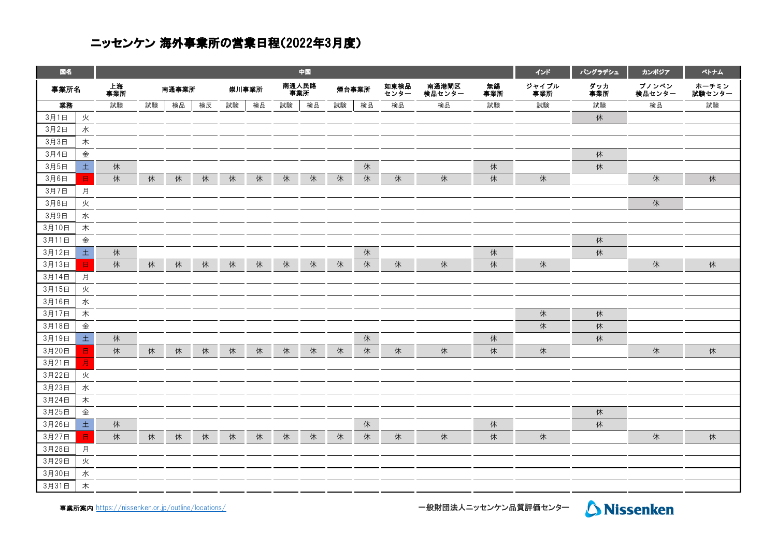## ニッセンケン 海外事業所の営業日程(2022年3月度)

| 国名    |                |           | 中国 |       |    |       |    |              |    |       |    |              |                 |           |              | バングラデシュ    | カンポジア           | ペトナム            |
|-------|----------------|-----------|----|-------|----|-------|----|--------------|----|-------|----|--------------|-----------------|-----------|--------------|------------|-----------------|-----------------|
| 事業所名  |                | 上海<br>事業所 |    | 南通事業所 |    | 崇川事業所 |    | 南通人民路<br>事業所 |    | 煙台事業所 |    | 如東検品<br>センター | 南通港閘区<br>検品センター | 無錫<br>事業所 | ジャイプル<br>事業所 | ダッカ<br>事業所 | プノンペン<br>検品センター | ホーチミン<br>試験センター |
| 業務    |                | 試験        | 試験 | 検品    | 検反 | 試験    | 検品 | 試験           | 検品 | 試験    | 検品 | 検品           | 検品              | 試験        | 試験           | 試験         | 検品              | 試験              |
| 3月1日  | 火              |           |    |       |    |       |    |              |    |       |    |              |                 |           |              | 休          |                 |                 |
| 3月2日  | 水              |           |    |       |    |       |    |              |    |       |    |              |                 |           |              |            |                 |                 |
| 3月3日  | 木              |           |    |       |    |       |    |              |    |       |    |              |                 |           |              |            |                 |                 |
| 3月4日  | 金              |           |    |       |    |       |    |              |    |       |    |              |                 |           |              | 休          |                 |                 |
| 3月5日  | $\pm$          | 休         |    |       |    |       |    |              |    |       | 休  |              |                 | 休         |              | 休          |                 |                 |
| 3月6日  | $\blacksquare$ | 休         | 休  | 休     | 休  | 休     | 休  | 休            | 休  | 休     | 休  | 休            | 休               | 休         | 休            |            | 休               | 休               |
| 3月7日  | 月              |           |    |       |    |       |    |              |    |       |    |              |                 |           |              |            |                 |                 |
| 3月8日  | 火              |           |    |       |    |       |    |              |    |       |    |              |                 |           |              |            | 休               |                 |
| 3月9日  | 水              |           |    |       |    |       |    |              |    |       |    |              |                 |           |              |            |                 |                 |
| 3月10日 | 木              |           |    |       |    |       |    |              |    |       |    |              |                 |           |              |            |                 |                 |
| 3月11日 | 金              |           |    |       |    |       |    |              |    |       |    |              |                 |           |              | 休          |                 |                 |
| 3月12日 | $\pm$          | 休         |    |       |    |       |    |              |    |       | 休  |              |                 | 休         |              | 休          |                 |                 |
| 3月13日 | $\Box$         | 休         | 休  | 休     | 休  | 休     | 休  | 休            | 休  | 休     | 休  | 休            | 休               | 休         | 休            |            | 休               | 休               |
| 3月14日 | 月              |           |    |       |    |       |    |              |    |       |    |              |                 |           |              |            |                 |                 |
| 3月15日 | 火              |           |    |       |    |       |    |              |    |       |    |              |                 |           |              |            |                 |                 |
| 3月16日 | 水              |           |    |       |    |       |    |              |    |       |    |              |                 |           |              |            |                 |                 |
| 3月17日 | 木              |           |    |       |    |       |    |              |    |       |    |              |                 |           | 休            | 休          |                 |                 |
| 3月18日 | 金              |           |    |       |    |       |    |              |    |       |    |              |                 |           | 休            | 休          |                 |                 |
| 3月19日 | $\pm$          | 休         |    |       |    |       |    |              |    |       | 休  |              |                 | 休         |              | 休          |                 |                 |
| 3月20日 | Β              | 休         | 休  | 休     | 休  | 休     | 休  | 休            | 休  | 休     | 休  | 休            | 休               | 休         | 休            |            | 休               | 休               |
| 3月21日 | Е              |           |    |       |    |       |    |              |    |       |    |              |                 |           |              |            |                 |                 |
| 3月22日 | 火              |           |    |       |    |       |    |              |    |       |    |              |                 |           |              |            |                 |                 |
| 3月23日 | 水              |           |    |       |    |       |    |              |    |       |    |              |                 |           |              |            |                 |                 |
| 3月24日 | 木              |           |    |       |    |       |    |              |    |       |    |              |                 |           |              |            |                 |                 |
| 3月25日 | 金              |           |    |       |    |       |    |              |    |       |    |              |                 |           |              | 休          |                 |                 |
| 3月26日 | $\pm$          | 休         |    |       |    |       |    |              |    |       | 休  |              |                 | 休         |              | 休          |                 |                 |
| 3月27日 | 8              | 休         | 休  | 休     | 休  | 休     | 休  | 休            | 休  | 休     | 休  | 休            | 休               | 休         | 休            |            | 休               | 休               |
| 3月28日 | 月              |           |    |       |    |       |    |              |    |       |    |              |                 |           |              |            |                 |                 |
| 3月29日 | 火              |           |    |       |    |       |    |              |    |       |    |              |                 |           |              |            |                 |                 |
| 3月30日 | 水              |           |    |       |    |       |    |              |    |       |    |              |                 |           |              |            |                 |                 |
| 3月31日 | 木              |           |    |       |    |       |    |              |    |       |    |              |                 |           |              |            |                 |                 |

事業所案内 [https://nissen](https://nissenken.or.jp/outline/locations/)ken.or.jp/outline/locations/

ー<br>一般財団法人ニッセンケン品質評価センター Aissenken